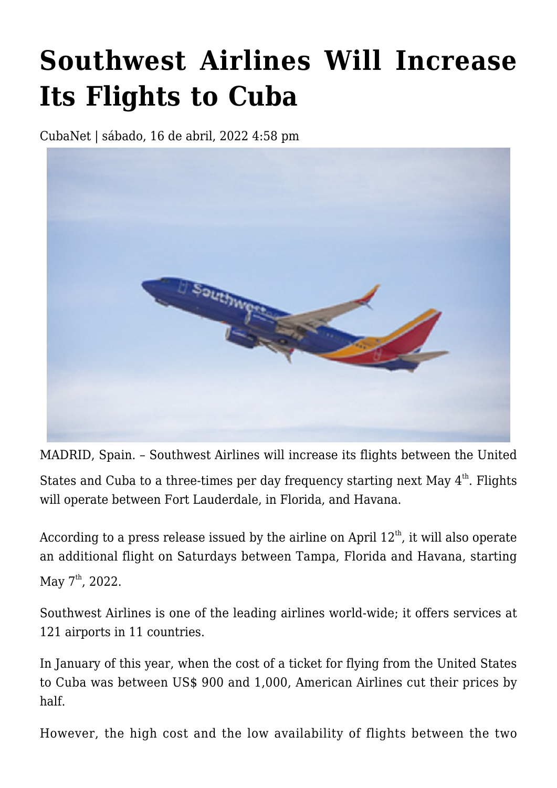## **[Southwest Airlines Will Increase](https://www.cubanet.org/english/southwest-airlines-will-increase-its-flights-to-cuba/) [Its Flights to Cuba](https://www.cubanet.org/english/southwest-airlines-will-increase-its-flights-to-cuba/)**

CubaNet | sábado, 16 de abril, 2022 4:58 pm



MADRID, Spain. – Southwest Airlines will increase its flights between the United

States and Cuba to a three-times per day frequency starting next May  $4^{\text{th}}$ . Flights will operate between Fort Lauderdale, in Florida, and Havana.

According to a press release issued by the airline on April  $12<sup>th</sup>$ , it will also operate an additional flight on Saturdays between Tampa, Florida and Havana, starting May  $7^{\text{th}}$ , 2022.

Southwest Airlines is one of the leading airlines world-wide; it offers services at 121 airports in 11 countries.

In January of this year, when the cost of a ticket for flying from the United States to Cuba was between US\$ 900 and 1,000, American Airlines cut their prices by half.

However, the high cost and the low availability of flights between the two